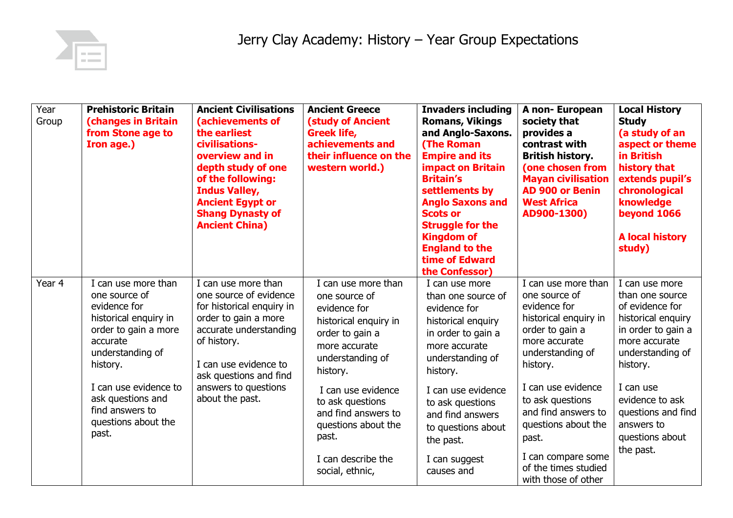

| Year<br>Group | <b>Prehistoric Britain</b><br><b>(changes in Britain</b><br>from Stone age to<br>Iron age.)                                                                                                                                                        | <b>Ancient Civilisations</b><br>(achievements of<br>the earliest<br>civilisations-<br>overview and in<br>depth study of one<br>of the following:<br><b>Indus Valley,</b><br><b>Ancient Egypt or</b><br><b>Shang Dynasty of</b><br><b>Ancient China)</b> | <b>Ancient Greece</b><br><b>(study of Ancient</b><br><b>Greek life,</b><br>achievements and<br>their influence on the<br>western world.)                                                                                                                                                    | <b>Invaders including</b><br><b>Romans, Vikings</b><br>and Anglo-Saxons.<br><b>(The Roman</b><br><b>Empire and its</b><br><b>impact on Britain</b><br><b>Britain's</b><br>settlements by<br><b>Anglo Saxons and</b><br><b>Scots or</b><br><b>Struggle for the</b><br><b>Kingdom of</b><br><b>England to the</b><br>time of Edward<br>the Confessor) | A non-European<br>society that<br>provides a<br>contrast with<br><b>British history.</b><br>(one chosen from<br><b>Mayan civilisation</b><br><b>AD 900 or Benin</b><br><b>West Africa</b><br>AD900-1300)                                                                                                                | <b>Local History</b><br><b>Study</b><br>(a study of an<br>aspect or theme<br>in British<br>history that<br>extends pupil's<br>chronological<br>knowledge<br>beyond 1066<br><b>A local history</b><br>study)                                           |
|---------------|----------------------------------------------------------------------------------------------------------------------------------------------------------------------------------------------------------------------------------------------------|---------------------------------------------------------------------------------------------------------------------------------------------------------------------------------------------------------------------------------------------------------|---------------------------------------------------------------------------------------------------------------------------------------------------------------------------------------------------------------------------------------------------------------------------------------------|-----------------------------------------------------------------------------------------------------------------------------------------------------------------------------------------------------------------------------------------------------------------------------------------------------------------------------------------------------|-------------------------------------------------------------------------------------------------------------------------------------------------------------------------------------------------------------------------------------------------------------------------------------------------------------------------|-------------------------------------------------------------------------------------------------------------------------------------------------------------------------------------------------------------------------------------------------------|
| Year 4        | I can use more than<br>one source of<br>evidence for<br>historical enquiry in<br>order to gain a more<br>accurate<br>understanding of<br>history.<br>I can use evidence to<br>ask questions and<br>find answers to<br>questions about the<br>past. | I can use more than<br>one source of evidence<br>for historical enquiry in<br>order to gain a more<br>accurate understanding<br>of history.<br>I can use evidence to<br>ask questions and find<br>answers to questions<br>about the past.               | I can use more than<br>one source of<br>evidence for<br>historical enquiry in<br>order to gain a<br>more accurate<br>understanding of<br>history.<br>I can use evidence<br>to ask questions<br>and find answers to<br>questions about the<br>past.<br>I can describe the<br>social, ethnic, | I can use more<br>than one source of<br>evidence for<br>historical enquiry<br>in order to gain a<br>more accurate<br>understanding of<br>history.<br>I can use evidence<br>to ask questions<br>and find answers<br>to questions about<br>the past.<br>I can suggest<br>causes and                                                                   | I can use more than<br>one source of<br>evidence for<br>historical enquiry in<br>order to gain a<br>more accurate<br>understanding of<br>history.<br>I can use evidence<br>to ask questions<br>and find answers to<br>questions about the<br>past.<br>I can compare some<br>of the times studied<br>with those of other | I can use more<br>than one source<br>of evidence for<br>historical enquiry<br>in order to gain a<br>more accurate<br>understanding of<br>history.<br>I can use<br>evidence to ask<br>questions and find<br>answers to<br>questions about<br>the past. |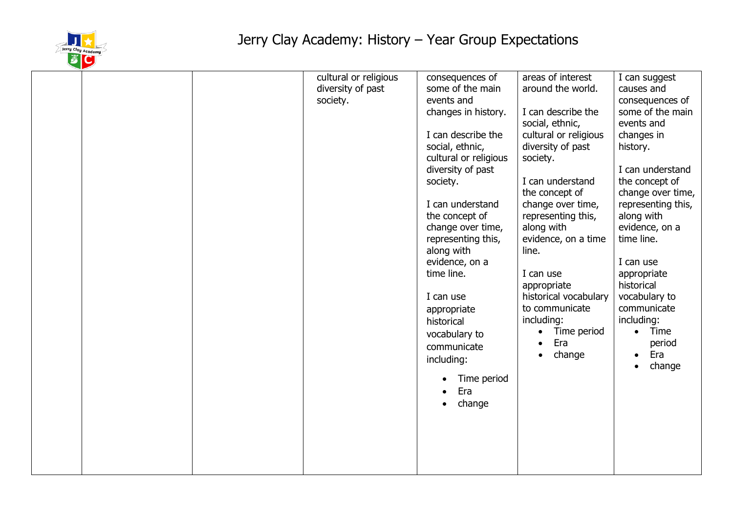

|  | cultural or religious<br>diversity of past<br>society. | consequences of<br>some of the main<br>events and<br>changes in history.<br>I can describe the<br>social, ethnic,<br>cultural or religious<br>diversity of past<br>society.<br>I can understand<br>the concept of<br>change over time,<br>representing this,<br>along with<br>evidence, on a<br>time line.<br>I can use<br>appropriate<br>historical<br>vocabulary to<br>communicate<br>including:<br>Time period<br>Era<br>change | areas of interest<br>around the world.<br>I can describe the<br>social, ethnic,<br>cultural or religious<br>diversity of past<br>society.<br>I can understand<br>the concept of<br>change over time,<br>representing this,<br>along with<br>evidence, on a time<br>line.<br>I can use<br>appropriate<br>historical vocabulary<br>to communicate<br>including:<br>Time period<br>Era<br>change | I can suggest<br>causes and<br>consequences of<br>some of the main<br>events and<br>changes in<br>history.<br>I can understand<br>the concept of<br>change over time,<br>representing this,<br>along with<br>evidence, on a<br>time line.<br>I can use<br>appropriate<br>historical<br>vocabulary to<br>communicate<br>including:<br>Time<br>$\bullet$<br>period<br>Era<br>$\bullet$<br>change<br>$\bullet$ |
|--|--------------------------------------------------------|------------------------------------------------------------------------------------------------------------------------------------------------------------------------------------------------------------------------------------------------------------------------------------------------------------------------------------------------------------------------------------------------------------------------------------|-----------------------------------------------------------------------------------------------------------------------------------------------------------------------------------------------------------------------------------------------------------------------------------------------------------------------------------------------------------------------------------------------|-------------------------------------------------------------------------------------------------------------------------------------------------------------------------------------------------------------------------------------------------------------------------------------------------------------------------------------------------------------------------------------------------------------|